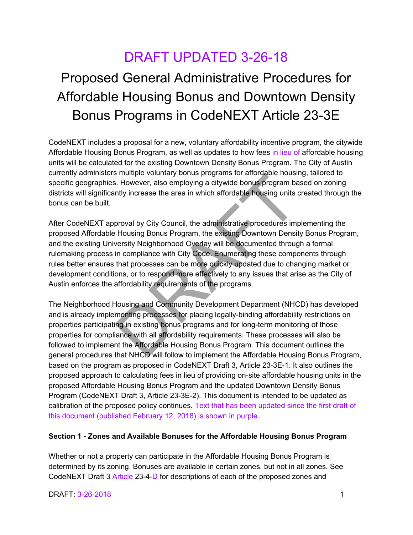## DRAFT UPDATED 3-26-18

# Proposed General Administrative Procedures for Affordable Housing Bonus and Downtown Density Bonus Programs in CodeNEXT Article 23-3E

CodeNEXT includes a proposal for a new, voluntary affordability incentive program, the citywide Affordable Housing Bonus Program, as well as updates to how fees in lieu of affordable housing units will be calculated for the existing Downtown Density Bonus Program. The City of Austin currently administers multiple voluntary bonus programs for affordable housing, tailored to specific geographies. However, also employing a citywide bonus program based on zoning districts will significantly increase the area in which affordable housing units created through the bonus can be built.

After CodeNEXT approval by City Council, the administrative procedures implementing the proposed Affordable Housing Bonus Program, the existing Downtown Density Bonus Program, and the existing University Neighborhood Overlay will be documented through a formal rulemaking process in compliance with City Code. Enumerating these components through rules better ensures that processes can be more quickly updated due to changing market or development conditions, or to respond more effectively to any issues that arise as the City of Austin enforces the affordability requirements of the programs. Is include the attention of the Affordable Housing in existing borous programs in anotonic inclusion.<br>Thowever, also employing a citywide bonus program bantly increase the area in which affordable housing units of<br>proval b

The Neighborhood Housing and Community Development Department (NHCD) has developed and is already implementing processes for placing legally-binding affordability restrictions on properties participating in existing bonus programs and for long-term monitoring of those properties for compliance with all affordability requirements. These processes will also be followed to implement the Affordable Housing Bonus Program. This document outlines the general procedures that NHCD will follow to implement the Affordable Housing Bonus Program, based on the program as proposed in CodeNEXT Draft 3, Article 23-3E-1. It also outlines the proposed approach to calculating fees in lieu of providing on-site affordable housing units in the proposed Affordable Housing Bonus Program and the updated Downtown Density Bonus Program (CodeNEXT Draft 3, Article 23-3E-2). This document is intended to be updated as calibration of the proposed policy continues. Text that has been updated since the first draft of this document (published February 12, 2018) is shown in purple.

#### **Section 1 - Zones and Available Bonuses for the Affordable Housing Bonus Program**

Whether or not a property can participate in the Affordable Housing Bonus Program is determined by its zoning. Bonuses are available in certain zones, but not in all zones. See CodeNEXT Draft 3 Article 23-4-D for descriptions of each of the proposed zones and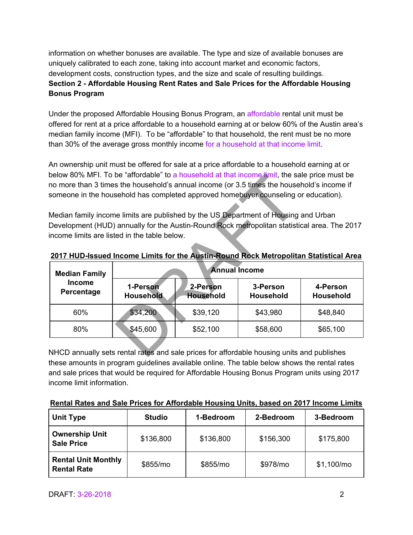information on whether bonuses are available. The type and size of available bonuses are uniquely calibrated to each zone, taking into account market and economic factors, development costs, construction types, and the size and scale of resulting buildings. **Section 2 - Affordable Housing Rent Rates and Sale Prices for the Affordable Housing Bonus Program** 

Under the proposed Affordable Housing Bonus Program, an affordable rental unit must be offered for rent at a price affordable to a household earning at or below 60% of the Austin area's median family income (MFI). To be "affordable" to that household, the rent must be no more than 30% of the average gross monthly income for a household at that income limit.

An ownership unit must be offered for sale at a price affordable to a household earning at or below 80% MFI. To be "affordable" to a household at that income limit, the sale price must be no more than 3 times the household's annual income (or 3.5 times the household's income if someone in the household has completed approved homebuyer counseling or education).

| below 80% MFT. To be "affordable" to a nousehold at that income limit, the sale price must be<br>no more than 3 times the household's annual income (or 3.5 times the household's income if |                              |                              |                              |                              |
|---------------------------------------------------------------------------------------------------------------------------------------------------------------------------------------------|------------------------------|------------------------------|------------------------------|------------------------------|
| someone in the household has completed approved homebuyer counseling or education).                                                                                                         |                              |                              |                              |                              |
| Median family income limits are published by the US Department of Housing and Urban                                                                                                         |                              |                              |                              |                              |
| Development (HUD) annually for the Austin-Round Rock metropolitan statistical area. The 2017                                                                                                |                              |                              |                              |                              |
| income limits are listed in the table below.                                                                                                                                                |                              |                              |                              |                              |
| 2017 HUD-Issued Income Limits for the Austin-Round Rock Metropolitan Statistical Area<br><b>Annual Income</b><br><b>Median Family</b>                                                       |                              |                              |                              |                              |
| <b>Income</b><br>Percentage                                                                                                                                                                 | 1-Person<br><b>Household</b> | 2-Person<br><b>Household</b> | 3-Person<br><b>Household</b> | 4-Person<br><b>Household</b> |
| 60%                                                                                                                                                                                         | \$34,200                     | \$39,120                     | \$43,980                     | \$48,840                     |
| 80%                                                                                                                                                                                         | \$45,600                     | \$52,100                     | \$58,600                     | \$65,100                     |
| NHCD annually sets rental rates and sale prices for affordable housing units and publishes                                                                                                  |                              |                              |                              |                              |

**2017 HUD-Issued Income Limits for the Austin-Round Rock Metropolitan Statistical Area** 

NHCD annually sets rental rates and sale prices for affordable housing units and publishes these amounts in program guidelines available online. The table below shows the rental rates and sale prices that would be required for Affordable Housing Bonus Program units using 2017 income limit information.

| Rental Rates and Sale Prices for Affordable Housing Units, based on 2017 Income Limits |  |
|----------------------------------------------------------------------------------------|--|
|                                                                                        |  |

| <b>Unit Type</b>                                 | <b>Studio</b> | 1-Bedroom | 2-Bedroom | 3-Bedroom   |
|--------------------------------------------------|---------------|-----------|-----------|-------------|
| <b>Ownership Unit</b><br><b>Sale Price</b>       | \$136,800     | \$136,800 | \$156,300 | \$175,800   |
| <b>Rental Unit Monthly</b><br><b>Rental Rate</b> | \$855/mo      | \$855/mo  | \$978/mo  | \$1,100/mol |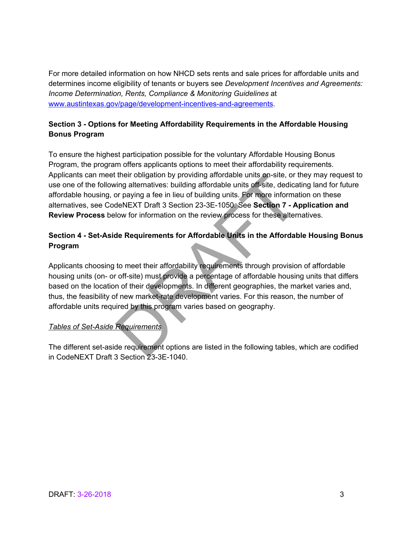For more detailed information on how NHCD sets rents and sale prices for affordable units and determines income eligibility of tenants or buyers see *Development Incentives and Agreements: Income Determination, Rents, Compliance & Monitoring Guidelines* at [www.austintexas.gov/page/development-incentives-and-agreements.](http://www.austintexas.gov/page/development-incentives-and-agreements)

#### **Section 3 - Options for Meeting Affordability Requirements in the Affordable Housing Bonus Program**

To ensure the highest participation possible for the voluntary Affordable Housing Bonus Program, the program offers applicants options to meet their affordability requirements. Applicants can meet their obligation by providing affordable units on-site, or they may request to use one of the following alternatives: building affordable units off-site, dedicating land for future affordable housing, or paying a fee in lieu of building units. For more information on these alternatives, see CodeNEXT Draft 3 Section 23-3E-1050. See **Section 7 - Application and Review Process** below for information on the review process for these alternatives.

#### **Section 4 - Set-Aside Requirements for Affordable Units in the Affordable Housing Bonus Program**

Applicants choosing to meet their affordability requirements through provision of affordable housing units (on- or off-site) must provide a percentage of affordable housing units that differs based on the location of their developments. In different geographies, the market varies and, thus, the feasibility of new market-rate development varies. For this reason, the number of affordable units required by this program varies based on geography. their obligation by providing affordable units on-site, or the simple distinction of paying a fee in lieu of building units. For more information or paying a fee in lieu of building units. For more information and eNEXT Dr

#### *Tables of Set-Aside Requirements*

The different set-aside requirement options are listed in the following tables, which are codified in CodeNEXT Draft 3 Section 23-3E-1040.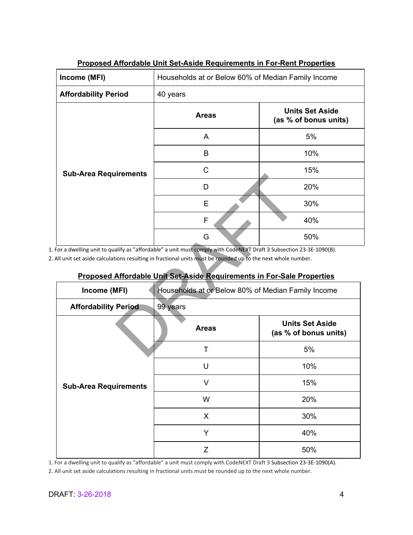| Income (MFI)                 | Households at or Below 60% of Median Family Income |                                                 |  |  |  |
|------------------------------|----------------------------------------------------|-------------------------------------------------|--|--|--|
| <b>Affordability Period</b>  | 40 years                                           |                                                 |  |  |  |
|                              | <b>Areas</b>                                       | <b>Units Set Aside</b><br>(as % of bonus units) |  |  |  |
|                              | A                                                  | 5%                                              |  |  |  |
| <b>Sub-Area Requirements</b> | B                                                  | 10%                                             |  |  |  |
|                              | C                                                  | 15%                                             |  |  |  |
|                              | D                                                  | 20%                                             |  |  |  |
|                              | E                                                  | 30%                                             |  |  |  |
|                              | F                                                  | 40%                                             |  |  |  |
|                              | G                                                  | 50%                                             |  |  |  |

#### **Proposed Affordable Unit Set-Aside Requirements in For-Rent Properties**

### **Proposed Affordable Unit Set-Aside Requirements in For-Sale Properties**

| Sub-Area Requirements                   |                                                                                                                   |                                                 |  |  |
|-----------------------------------------|-------------------------------------------------------------------------------------------------------------------|-------------------------------------------------|--|--|
|                                         | D                                                                                                                 | 20%                                             |  |  |
|                                         | E                                                                                                                 | 30%                                             |  |  |
|                                         | F                                                                                                                 | 40%                                             |  |  |
|                                         | G                                                                                                                 | 50%                                             |  |  |
|                                         | For a dwelling unit to qualify as "affordable" a unit must comply with CodeNEXT Draft 3 Subsection 23-3E-1090(B). |                                                 |  |  |
|                                         | All unit set aside calculations resulting in fractional units must be rounded up to the next whole number.        |                                                 |  |  |
|                                         |                                                                                                                   |                                                 |  |  |
|                                         | Proposed Affordable Unit Set-Aside Requirements in For-Sale Properties                                            |                                                 |  |  |
| Income (MFI)                            | Households at or Below 80% of Median Family Income                                                                |                                                 |  |  |
| <b>Affordability Period</b><br>99 years |                                                                                                                   |                                                 |  |  |
|                                         |                                                                                                                   |                                                 |  |  |
|                                         | <b>Areas</b>                                                                                                      | <b>Units Set Aside</b><br>(as % of bonus units) |  |  |
|                                         | $\top$                                                                                                            | 5%                                              |  |  |
|                                         | $\cup$                                                                                                            | 10%                                             |  |  |
| <b>Sub-Area Requirements</b>            | $\vee$                                                                                                            | 15%                                             |  |  |
|                                         | W                                                                                                                 | 20%                                             |  |  |
|                                         | X                                                                                                                 | 30%                                             |  |  |
|                                         | Y                                                                                                                 | 40%                                             |  |  |

1. For a dwelling unit to qualify as "affordable" a unit must comply with CodeNEXT Draft 3 Subsection 23-3E-1090(A).

2. All unit set aside calculations resulting in fractional units must be rounded up to the next whole number.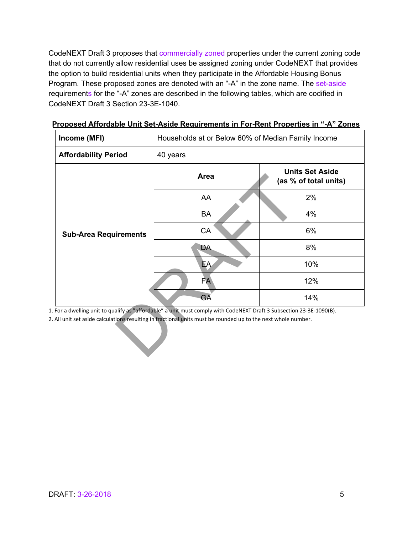CodeNEXT Draft 3 proposes that commercially zoned properties under the current zoning code that do not currently allow residential uses be assigned zoning under CodeNEXT that provides the option to build residential units when they participate in the Affordable Housing Bonus Program. These proposed zones are denoted with an "-A" in the zone name. The set-aside requirements for the "-A" zones are described in the following tables, which are codified in CodeNEXT Draft 3 Section 23-3E-1040.

| <b>Affordability Period</b><br>40 years<br>Area<br>AA<br>BA<br>CA<br><b>Sub-Area Requirements</b><br>DA.<br>EA.<br><b>FA</b> | Households at or Below 60% of Median Family Income |  |  |
|------------------------------------------------------------------------------------------------------------------------------|----------------------------------------------------|--|--|
|                                                                                                                              |                                                    |  |  |
|                                                                                                                              | <b>Units Set Aside</b><br>(as % of total units)    |  |  |
|                                                                                                                              | 2%                                                 |  |  |
|                                                                                                                              | 4%                                                 |  |  |
|                                                                                                                              | 6%                                                 |  |  |
|                                                                                                                              | 8%                                                 |  |  |
|                                                                                                                              | 10%                                                |  |  |
|                                                                                                                              | 12%                                                |  |  |
| GÄ                                                                                                                           | 14%                                                |  |  |

**Proposed Affordable Unit Set-Aside Requirements in For-Rent Properties in "-A" Zones**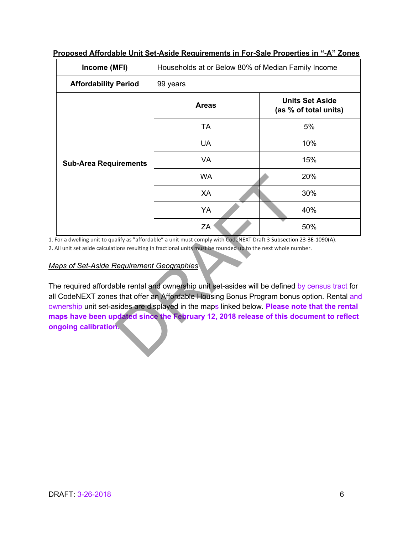| Income (MFI)                                                     | Households at or Below 80% of Median Family Income                                                                                                                                                                                                                                                                                                                                                                                                                                                                                                                                                                      |                                                 |  |  |
|------------------------------------------------------------------|-------------------------------------------------------------------------------------------------------------------------------------------------------------------------------------------------------------------------------------------------------------------------------------------------------------------------------------------------------------------------------------------------------------------------------------------------------------------------------------------------------------------------------------------------------------------------------------------------------------------------|-------------------------------------------------|--|--|
| <b>Affordability Period</b>                                      | 99 years                                                                                                                                                                                                                                                                                                                                                                                                                                                                                                                                                                                                                |                                                 |  |  |
|                                                                  | <b>Areas</b>                                                                                                                                                                                                                                                                                                                                                                                                                                                                                                                                                                                                            | <b>Units Set Aside</b><br>(as % of total units) |  |  |
|                                                                  | <b>TA</b>                                                                                                                                                                                                                                                                                                                                                                                                                                                                                                                                                                                                               | 5%                                              |  |  |
|                                                                  | <b>UA</b>                                                                                                                                                                                                                                                                                                                                                                                                                                                                                                                                                                                                               | 10%                                             |  |  |
| <b>Sub-Area Requirements</b>                                     | <b>VA</b>                                                                                                                                                                                                                                                                                                                                                                                                                                                                                                                                                                                                               | 15%                                             |  |  |
|                                                                  | <b>WA</b>                                                                                                                                                                                                                                                                                                                                                                                                                                                                                                                                                                                                               | 20%                                             |  |  |
|                                                                  | XA                                                                                                                                                                                                                                                                                                                                                                                                                                                                                                                                                                                                                      | 30%                                             |  |  |
|                                                                  | YA                                                                                                                                                                                                                                                                                                                                                                                                                                                                                                                                                                                                                      | 40%                                             |  |  |
|                                                                  | ZA                                                                                                                                                                                                                                                                                                                                                                                                                                                                                                                                                                                                                      | 50%                                             |  |  |
| laps of Set-Aside Requirement Geographies<br>ngoing calibration. | For a dwelling unit to qualify as "affordable" a unit must comply with CodeNEXT Draft 3 Subsection 23-3E-1090(A).<br>All unit set aside calculations resulting in fractional units must be rounded up to the next whole number.<br>ne required affordable rental and ownership unit set-asides will be defined by census tract for<br>I CodeNEXT zones that offer an Affordable Housing Bonus Program bonus option. Rental and<br>wnership unit set-asides are displayed in the maps linked below. Please note that the rental<br>aps have been updated since the February 12, 2018 release of this document to reflect |                                                 |  |  |

**Proposed Affordable Unit Set-Aside Requirements in For-Sale Properties in "-A" Zones** 

#### *Maps of Set-Aside Requirement Geographies*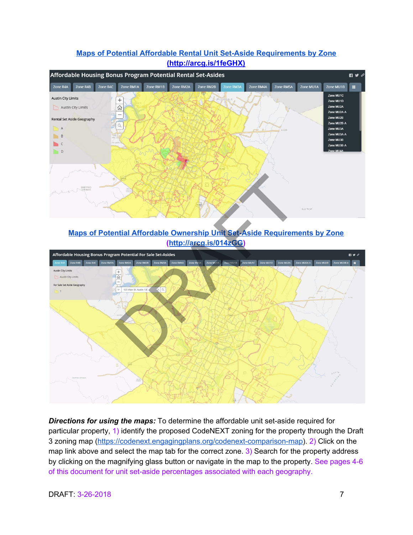#### Affordable Housing Bonus Program Potential Rental Set-Asides  $\blacksquare \triangleright \preceq$ Zone R4C Zone RM1A Zone RM1B Zone RM2A Zone RM2B Zone RM3A Zone RM4A Zone R4B Zone RM5A Zone MU1A Zone MU1B Zone MU1C **Austin City Limits**  $^{+}$ Zone MU1D Austin City Limits Zone MU2A ⋒ Zone MU2A-A  $\overline{a}$ Zone MU2B Rental Set Aside Geography Zone MU2B-A Q  $\overline{A}$ Zone MU3A Zone MU3A-A  $B$ Zone MU3B  $\Box$  C Zone MU3B-A  $\mathbb{D}^{\mathsf{D}}$

#### **[Maps of Potential Affordable Rental Unit Set-Aside Requirements by Zone](http://arcg.is/1feGHX) (http://arcg.is/1feGHX)**

**[Maps of Potential Affordable Ownership Unit Set-Aside Requirements by Zone](http://arcg.is/014zGG) (http://arcg.is/014zGG)** 



*Directions for using the maps:* To determine the affordable unit set-aside required for particular property, 1) identify the proposed CodeNEXT zoning for the property through the Draft 3 zoning map ([https://codenext.engagingplans.org/codenext-comparison-map\)](https://codenext.engagingplans.org/codenext-comparison-map). 2) Click on the map link above and select the map tab for the correct zone. 3) Search for the property address by clicking on the magnifying glass button or navigate in the map to the property. See pages 4-6 of this document for unit set-aside percentages associated with each geography.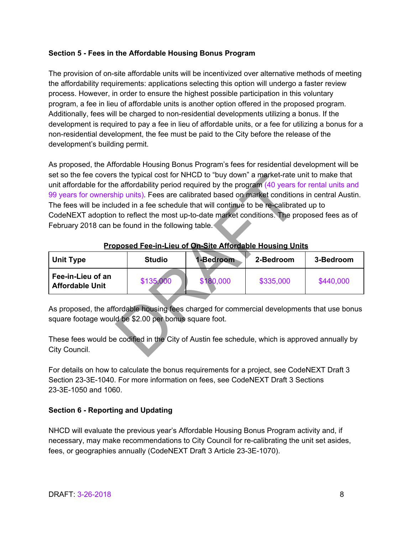#### **Section 5 - Fees in the Affordable Housing Bonus Program**

The provision of on-site affordable units will be incentivized over alternative methods of meeting the affordability requirements: applications selecting this option will undergo a faster review process. However, in order to ensure the highest possible participation in this voluntary program, a fee in lieu of affordable units is another option offered in the proposed program. Additionally, fees will be charged to non-residential developments utilizing a bonus. If the development is required to pay a fee in lieu of affordable units, or a fee for utilizing a bonus for a non-residential development, the fee must be paid to the City before the release of the development's building permit.

As proposed, the Affordable Housing Bonus Program's fees for residential development will be set so the fee covers the typical cost for NHCD to "buy down" a market-rate unit to make that unit affordable for the affordability period required by the program (40 years for rental units and 99 years for ownership units). Fees are calibrated based on market conditions in central Austin. The fees will be included in a fee schedule that will continue to be re-calibrated up to CodeNEXT adoption to reflect the most up-to-date market conditions. The proposed fees as of February 2018 can be found in the following table. is the typical cost for NHCD to "buy down" a market-rate is<br>
e affordability period required by the program (40 years thip units). Fees are calibrated based on market condition<br>
uded in a fee schedule that will continue to

| <b>Unit Type</b>                            | <b>Studio</b> | 1-Bedroom | 2-Bedroom | 3-Bedroom |
|---------------------------------------------|---------------|-----------|-----------|-----------|
| Fee-in-Lieu of an<br><b>Affordable Unit</b> | \$135,000     | \$180,000 | \$335,000 | \$440,000 |

#### **Proposed Fee-in-Lieu of On-Site Affordable Housing Units**

As proposed, the affordable housing fees charged for commercial developments that use bonus square footage would be \$2.00 per bonus square foot.

These fees would be codified in the City of Austin fee schedule, which is approved annually by City Council.

For details on how to calculate the bonus requirements for a project, see CodeNEXT Draft 3 Section 23-3E-1040. For more information on fees, see CodeNEXT Draft 3 Sections 23-3E-1050 and 1060.

#### **Section 6 - Reporting and Updating**

NHCD will evaluate the previous year's Affordable Housing Bonus Program activity and, if necessary, may make recommendations to City Council for re-calibrating the unit set asides, fees, or geographies annually (CodeNEXT Draft 3 Article 23-3E-1070).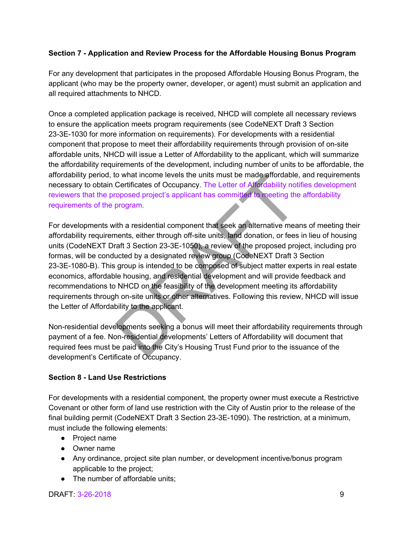#### **Section 7 - Application and Review Process for the Affordable Housing Bonus Program**

For any development that participates in the proposed Affordable Housing Bonus Program, the applicant (who may be the property owner, developer, or agent) must submit an application and all required attachments to NHCD.

Once a completed application package is received, NHCD will complete all necessary reviews to ensure the application meets program requirements (see CodeNEXT Draft 3 Section 23-3E-1030 for more information on requirements). For developments with a residential component that propose to meet their affordability requirements through provision of on-site affordable units, NHCD will issue a Letter of Affordability to the applicant, which will summarize the affordability requirements of the development, including number of units to be affordable, the affordability period, to what income levels the units must be made affordable, and requirements necessary to obtain Certificates of Occupancy. The Letter of Affordability notifies development reviewers that the proposed project's applicant has committed to meeting the affordability requirements of the program.

For developments with a residential component that seek an alternative means of meeting their affordability requirements, either through off-site units, land donation, or fees in lieu of housing units (CodeNEXT Draft 3 Section 23-3E-1050), a review of the proposed project, including pro formas, will be conducted by a designated review group (CodeNEXT Draft 3 Section 23-3E-1080-B). This group is intended to be composed of subject matter experts in real estate economics, affordable housing, and residential development and will provide feedback and recommendations to NHCD on the feasibility of the development meeting its affordability requirements through on-site units or other alternatives. Following this review, NHCD will issue the Letter of Affordability to the applicant. of what income levels the units must be made attordable<br>Certificates of Occupancy. The Letter of Affordability not<br>oposed project's applicant has committed to meeting the<br>program.<br>tith a residential component that seek an

Non-residential developments seeking a bonus will meet their affordability requirements through payment of a fee. Non-residential developments' Letters of Affordability will document that required fees must be paid into the City's Housing Trust Fund prior to the issuance of the development's Certificate of Occupancy.

#### **Section 8 - Land Use Restrictions**

For developments with a residential component, the property owner must execute a Restrictive Covenant or other form of land use restriction with the City of Austin prior to the release of the final building permit (CodeNEXT Draft 3 Section 23-3E-1090). The restriction, at a minimum, must include the following elements:

- Project name
- Owner name
- Any ordinance, project site plan number, or development incentive/bonus program applicable to the project;
- The number of affordable units;

DRAFT: 3-26-2018 9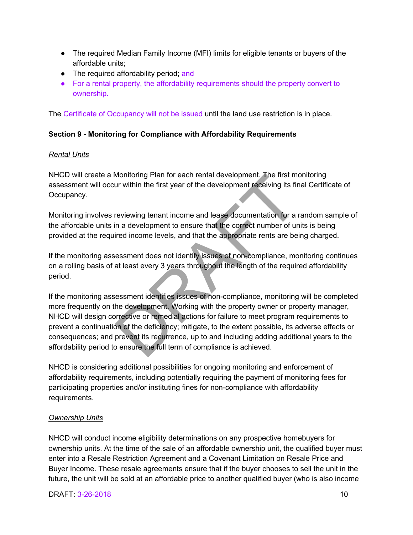- The required Median Family Income (MFI) limits for eligible tenants or buyers of the affordable units;
- The required affordability period; and
- For a rental property, the affordability requirements should the property convert to ownership.

The Certificate of Occupancy will not be issued until the land use restriction is in place.

#### **Section 9 - Monitoring for Compliance with Affordability Requirements**

#### *Rental Units*

NHCD will create a Monitoring Plan for each rental development. The first monitoring assessment will occur within the first year of the development receiving its final Certificate of Occupancy.

Monitoring involves reviewing tenant income and lease documentation for a random sample of the affordable units in a development to ensure that the correct number of units is being provided at the required income levels, and that the appropriate rents are being charged.

If the monitoring assessment does not identify issues of non-compliance, monitoring continues on a rolling basis of at least every 3 years throughout the length of the required affordability period.

If the monitoring assessment identifies issues of non-compliance, monitoring will be completed more frequently on the development. Working with the property owner or property manager, NHCD will design corrective or remedial actions for failure to meet program requirements to prevent a continuation of the deficiency; mitigate, to the extent possible, its adverse effects or consequences; and prevent its recurrence, up to and including adding additional years to the affordability period to ensure the full term of compliance is achieved. Monitoring Plan for each rental development. The first means we within the first year of the development receiving its first verviewing tenant income and lease documentation for a in a development to ensure that the correc

NHCD is considering additional possibilities for ongoing monitoring and enforcement of affordability requirements, including potentially requiring the payment of monitoring fees for participating properties and/or instituting fines for non-compliance with affordability requirements.

#### *Ownership Units*

NHCD will conduct income eligibility determinations on any prospective homebuyers for ownership units. At the time of the sale of an affordable ownership unit, the qualified buyer must enter into a Resale Restriction Agreement and a Covenant Limitation on Resale Price and Buyer Income. These resale agreements ensure that if the buyer chooses to sell the unit in the future, the unit will be sold at an affordable price to another qualified buyer (who is also income

#### **DRAFT: 3-26-2018** 10